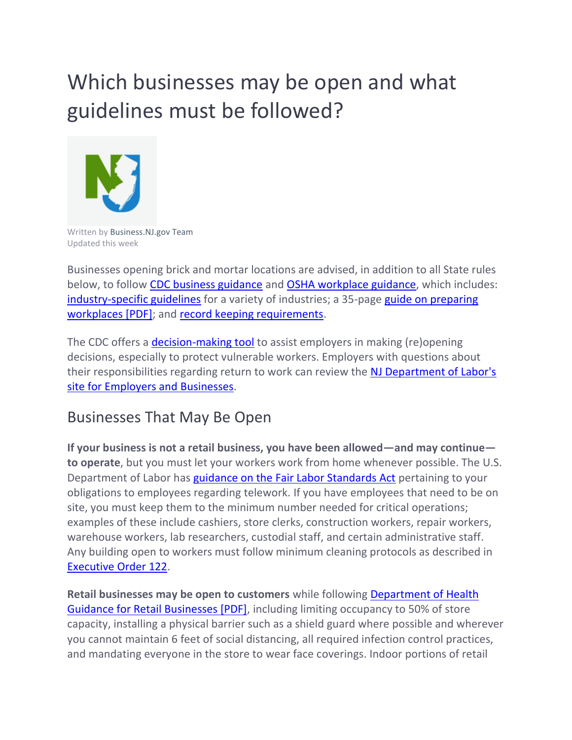# Which businesses may be open and what guidelines must be followed?



Written by Business.NJ.gov Team Updated this week

Businesses opening brick and mortar locations are advised, in addition to all State rules below, to follow [CDC business guidance](https://www.cdc.gov/coronavirus/2019-ncov/community/organizations/businesses-employers.html) and [OSHA workplace guidance,](https://www.osha.gov/SLTC/covid-19/) which includes: [industry-specific guidelines](https://www.osha.gov/SLTC/covid-19/controlprevention.html#interim) for a variety of industries; a 35-page [guide on preparing](https://www.osha.gov/Publications/OSHA3990.pdf)  [workplaces \[PDF\];](https://www.osha.gov/Publications/OSHA3990.pdf) and [record keeping requirements.](https://www.osha.gov/recordkeeping/)

The CDC offers a [decision-making tool](https://www.cdc.gov/coronavirus/2019-ncov/community/organizations/workplace-decision-tool.html) to assist employers in making (re)opening decisions, especially to protect vulnerable workers. Employers with questions about their responsibilities regarding return to work can review the [NJ Department of Labor's](https://www.nj.gov/labor/employer-services/business/covid.shtml)  [site for Employers and Businesses.](https://www.nj.gov/labor/employer-services/business/covid.shtml)

### Businesses That May Be Open

**If your business is not a retail business, you have been allowed—and may continue to operate**, but you must let your workers work from home whenever possible. The U.S. Department of Labor has [guidance on the Fair Labor Standards Act](https://www.dol.gov/agencies/whd/flsa/pandemic) pertaining to your obligations to employees regarding telework. If you have employees that need to be on site, you must keep them to the minimum number needed for critical operations; examples of these include cashiers, store clerks, construction workers, repair workers, warehouse workers, lab researchers, custodial staff, and certain administrative staff. Any building open to workers must follow minimum cleaning protocols as described in [Executive Order 122.](http://d31hzlhk6di2h5.cloudfront.net/20200408/c8/1b/61/37/b3f185e69487ad0f80d760b1/EO-122.pdf)

**Retail businesses may be open to customers** while following [Department of Health](https://www.nj.gov/health/cd/documents/topics/NCOV/COVID_Retail.pdf)  [Guidance for Retail Businesses \[PDF\],](https://www.nj.gov/health/cd/documents/topics/NCOV/COVID_Retail.pdf) including limiting occupancy to 50% of store capacity, installing a physical barrier such as a shield guard where possible and wherever you cannot maintain 6 feet of social distancing, all required infection control practices, and mandating everyone in the store to wear face coverings. Indoor portions of retail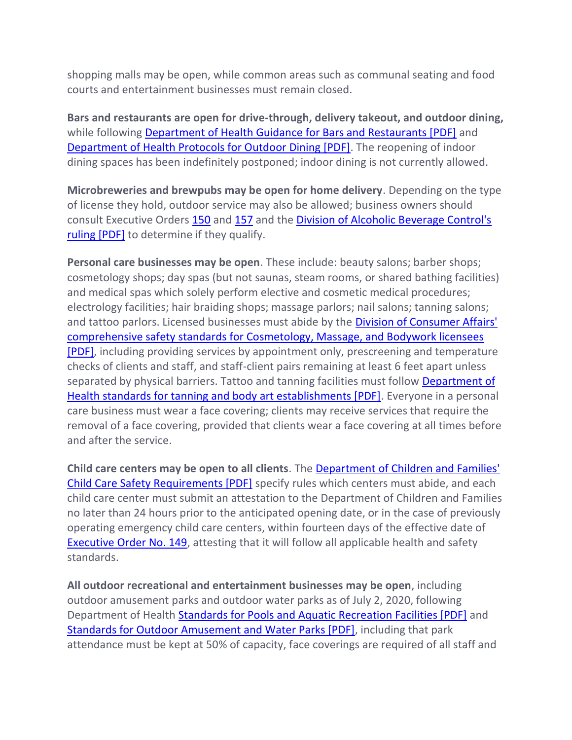shopping malls may be open, while common areas such as communal seating and food courts and entertainment businesses must remain closed.

**Bars and restaurants are open for drive-through, delivery takeout, and outdoor dining,**  while following [Department of Health Guidance for Bars and Restaurants \[PDF\]](https://www.nj.gov/health/cd/documents/topics/NCOV/COVID_Restaurants_Bars.pdf) and [Department of Health Protocols for Outdoor Dining \[PDF\].](http://d31hzlhk6di2h5.cloudfront.net/20200629/6a/d8/44/66/d7945d996f883dcaaab0c3bc/DOH_Revised_Dining_Guidance.pdf) The reopening of indoor dining spaces has been indefinitely postponed; indoor dining is not currently allowed.

**Microbreweries and brewpubs may be open for home delivery**. Depending on the type of license they hold, outdoor service may also be allowed; business owners should consult Executive Orders [150](https://www.nj.gov/infobank/eo/056murphy/pdf/EO-150.pdf) and [157](https://www.nj.gov/infobank/eo/056murphy/pdf/EO-157.pdf) and the [Division of Alcoholic Beverage Control's](https://www.nj.gov/oag/abc/downloads/SR_2020-10_Executed-Temporary-Extension-Permits.pdf)  [ruling \[PDF\]](https://www.nj.gov/oag/abc/downloads/SR_2020-10_Executed-Temporary-Extension-Permits.pdf) to determine if they qualify.

**Personal care businesses may be open**. These include: beauty salons; barber shops; cosmetology shops; day spas (but not saunas, steam rooms, or shared bathing facilities) and medical spas which solely perform elective and cosmetic medical procedures; electrology facilities; hair braiding shops; massage parlors; nail salons; tanning salons; and tattoo parlors. Licensed businesses must abide by the Division of Consumer Affairs' [comprehensive safety standards for Cosmetology, Massage, and Bodywork licensees](http://d31hzlhk6di2h5.cloudfront.net/20200613/34/55/d5/c3/a236d5db6071d4381b57705c/DCA_AO_2020-09.pdf)  [\[PDF\],](http://d31hzlhk6di2h5.cloudfront.net/20200613/34/55/d5/c3/a236d5db6071d4381b57705c/DCA_AO_2020-09.pdf) including providing services by appointment only, prescreening and temperature checks of clients and staff, and staff-client pairs remaining at least 6 feet apart unless separated by physical barriers. Tattoo and tanning facilities must follow [Department of](http://d31hzlhk6di2h5.cloudfront.net/20200613/70/c6/90/2f/4129f8640e975cab3ee5ec96/AO_20-015.pdf)  [Health standards for tanning and body art establishments \[PDF\].](http://d31hzlhk6di2h5.cloudfront.net/20200613/70/c6/90/2f/4129f8640e975cab3ee5ec96/AO_20-015.pdf) Everyone in a personal care business must wear a face covering; clients may receive services that require the removal of a face covering, provided that clients wear a face covering at all times before and after the service.

**Child care centers may be open to all clients**. The [Department of Children and Families'](https://www.nj.gov/dcf/news/Final.CC.Health.and.Safety.Standards.pdf)  [Child Care Safety Requirements \[PDF\]](https://www.nj.gov/dcf/news/Final.CC.Health.and.Safety.Standards.pdf) specify rules which centers must abide, and each child care center must submit an attestation to the Department of Children and Families no later than 24 hours prior to the anticipated opening date, or in the case of previously operating emergency child care centers, within fourteen days of the effective date of [Executive Order No. 149,](https://www.nj.gov/infobank/eo/056murphy/pdf/EO-149.pdf) attesting that it will follow all applicable health and safety standards.

**All outdoor recreational and entertainment businesses may be open**, including outdoor amusement parks and outdoor water parks as of July 2, 2020, following Department of Health [Standards for Pools and Aquatic Recreation Facilities \[PDF\]](https://nj.gov/health/legal/covid19/7-1-2020_20-022ExecDirWAttachmentsPools.pdf) and [Standards for Outdoor Amusement and Water Parks \[PDF\],](https://nj.gov/health/legal/covid19/7-1-2020_20-023ExecDirAmusementWPwAttach.pdf) including that park attendance must be kept at 50% of capacity, face coverings are required of all staff and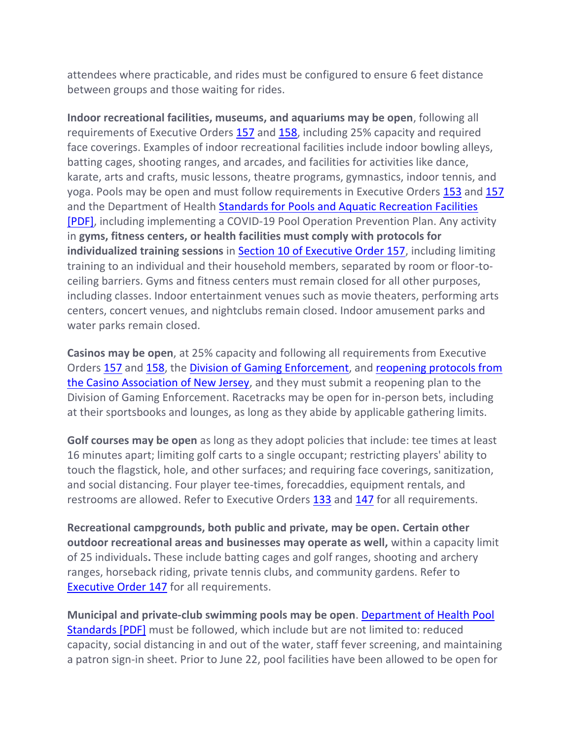attendees where practicable, and rides must be configured to ensure 6 feet distance between groups and those waiting for rides.

**Indoor recreational facilities, museums, and aquariums may be open**, following all requirements of Executive Orders [157](https://urldefense.com/v3/__http:/d31hzlhk6di2h5.cloudfront.net/20200626/bd/e2/5a/21/e985afde33502a8d776c8536/EO-157.pdf__;!!J30X0ZrnC1oQtbA!aWhYjqHZLfkBtVn36EulIX7uMpOuQ1oB86ws90jlXI82FMMKYtLBxXSj2T0ege-MDbY%24) and [158,](https://nj.gov/infobank/eo/056murphy/pdf/EO-158.pdf) including 25% capacity and required face coverings. Examples of indoor recreational facilities include indoor bowling alleys, batting cages, shooting ranges, and arcades, and facilities for activities like dance, karate, arts and crafts, music lessons, theatre programs, gymnastics, indoor tennis, and yoga. Pools may be open and must follow requirements in Executive Orders [153](https://www.nj.gov/infobank/eo/056murphy/pdf/EO-153.pdf) and [157](https://www.nj.gov/infobank/eo/056murphy/pdf/EO-157.pdf) and the Department of Health [Standards for Pools and Aquatic Recreation Facilities](https://nj.gov/health/legal/covid19/7-1-2020_20-022ExecDirWAttachmentsPools.pdf)  [\[PDF\],](https://nj.gov/health/legal/covid19/7-1-2020_20-022ExecDirWAttachmentsPools.pdf) including implementing a COVID-19 Pool Operation Prevention Plan. Any activity in **gyms, fitness centers, or health facilities must comply with protocols for individualized training sessions** in **Section 10 of Executive Order 157**, including limiting training to an individual and their household members, separated by room or floor-toceiling barriers. Gyms and fitness centers must remain closed for all other purposes, including classes. Indoor entertainment venues such as movie theaters, performing arts centers, concert venues, and nightclubs remain closed. Indoor amusement parks and water parks remain closed.

**Casinos may be open**, at 25% capacity and following all requirements from Executive Orders [157](https://www.nj.gov/infobank/eo/056murphy/pdf/EO-157.pdf) and [158,](https://www.nj.gov/infobank/eo/056murphy/pdf/EO-158.pdf) the [Division of Gaming Enforcement,](https://www.nj.gov/oag/ge/casinoreopeningplans.html) and reopening protocols from [the Casino Association of New Jersey,](https://www.nj.gov/oag/ge/docs/EmergencyOrders/CANJFinalPlan_063020.pdf) and they must submit a reopening plan to the Division of Gaming Enforcement. Racetracks may be open for in-person bets, including at their sportsbooks and lounges, as long as they abide by applicable gathering limits.

**Golf courses may be open** as long as they adopt policies that include: tee times at least 16 minutes apart; limiting golf carts to a single occupant; restricting players' ability to touch the flagstick, hole, and other surfaces; and requiring face coverings, sanitization, and social distancing. Four player tee-times, forecaddies, equipment rentals, and restrooms are allowed. Refer to Executive Orders [133](http://d31hzlhk6di2h5.cloudfront.net/20200429/30/b2/76/66/bd35b900f49bc713ce84d439/EO-133.pdf) and [147](http://d31hzlhk6di2h5.cloudfront.net/20200518/28/d4/c3/3a/e15d96f4636d5800ea23c10c/EO-147.pdf) for all requirements.

**Recreational campgrounds, both public and private, may be open. Certain other outdoor recreational areas and businesses may operate as well,** within a capacity limit of 25 individuals**.** These include batting cages and golf ranges, shooting and archery ranges, horseback riding, private tennis clubs, and community gardens. Refer to [Executive Order 147](http://d31hzlhk6di2h5.cloudfront.net/20200518/28/d4/c3/3a/e15d96f4636d5800ea23c10c/EO-147.pdf) for all requirements.

**Municipal and private-club swimming pools may be open**. [Department of Health Pool](https://nj.gov/health/ceohs/documents/phss/Guidance_for_Operating_Pool_Bathing_Facilities_During_COVID-19.pdf)  [Standards \[PDF\]](https://nj.gov/health/ceohs/documents/phss/Guidance_for_Operating_Pool_Bathing_Facilities_During_COVID-19.pdf) must be followed, which include but are not limited to: reduced capacity, social distancing in and out of the water, staff fever screening, and maintaining a patron sign-in sheet. Prior to June 22, pool facilities have been allowed to be open for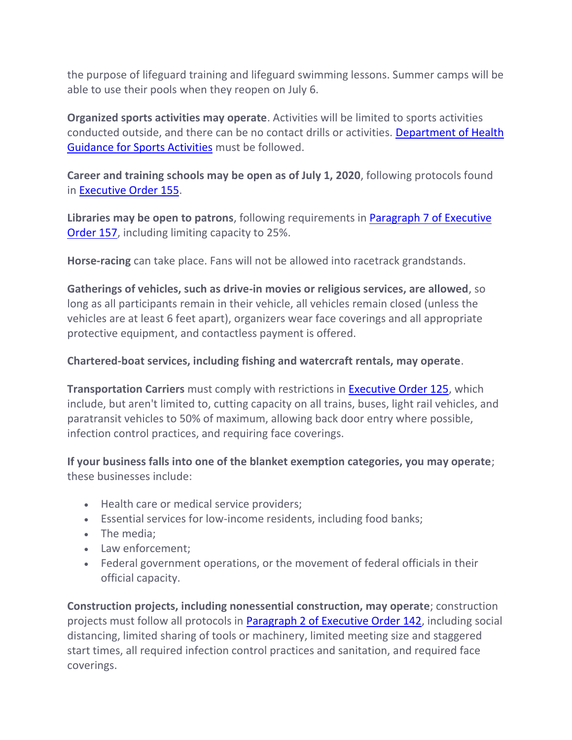the purpose of lifeguard training and lifeguard swimming lessons. Summer camps will be able to use their pools when they reopen on July 6.

**Organized sports activities may operate**. Activities will be limited to sports activities conducted outside, and there can be no contact drills or activities. [Department of Health](https://nj.gov/health/cd/documents/topics/NCOV/COVID_GuidanceForSportsActivities.pdf)  [Guidance for Sports Activities](https://nj.gov/health/cd/documents/topics/NCOV/COVID_GuidanceForSportsActivities.pdf) must be followed.

**Career and training schools may be open as of July 1, 2020**, following protocols found in [Executive Order 155.](http://d31hzlhk6di2h5.cloudfront.net/20200618/93/ef/4a/70/ceda8e752436fa3b0787480e/EO-155.pdf)

**Libraries may be open to patrons**, following requirements in [Paragraph 7 of Executive](http://d31hzlhk6di2h5.cloudfront.net/20200626/bd/e2/5a/21/e985afde33502a8d776c8536/EO-157.pdf)  [Order 157,](http://d31hzlhk6di2h5.cloudfront.net/20200626/bd/e2/5a/21/e985afde33502a8d776c8536/EO-157.pdf) including limiting capacity to 25%.

**Horse-racing** can take place. Fans will not be allowed into racetrack grandstands.

**Gatherings of vehicles, such as drive-in movies or religious services, are allowed**, so long as all participants remain in their vehicle, all vehicles remain closed (unless the vehicles are at least 6 feet apart), organizers wear face coverings and all appropriate protective equipment, and contactless payment is offered.

#### **Chartered-boat services, including fishing and watercraft rentals, may operate**.

**Transportation Carriers** must comply with restrictions in [Executive Order 125,](http://d31hzlhk6di2h5.cloudfront.net/20200411/02/ce/98/18/df879dd4a5159a854f43d1f8/EO-125.pdf) which include, but aren't limited to, cutting capacity on all trains, buses, light rail vehicles, and paratransit vehicles to 50% of maximum, allowing back door entry where possible, infection control practices, and requiring face coverings.

**If your business falls into one of the blanket exemption categories, you may operate**; these businesses include:

- Health care or medical service providers;
- Essential services for low-income residents, including food banks;
- The media;
- Law enforcement;
- Federal government operations, or the movement of federal officials in their official capacity.

**Construction projects, including nonessential construction, may operate**; construction projects must follow all protocols in **Paragraph 2 of Executive Order 142**, including social distancing, limited sharing of tools or machinery, limited meeting size and staggered start times, all required infection control practices and sanitation, and required face coverings.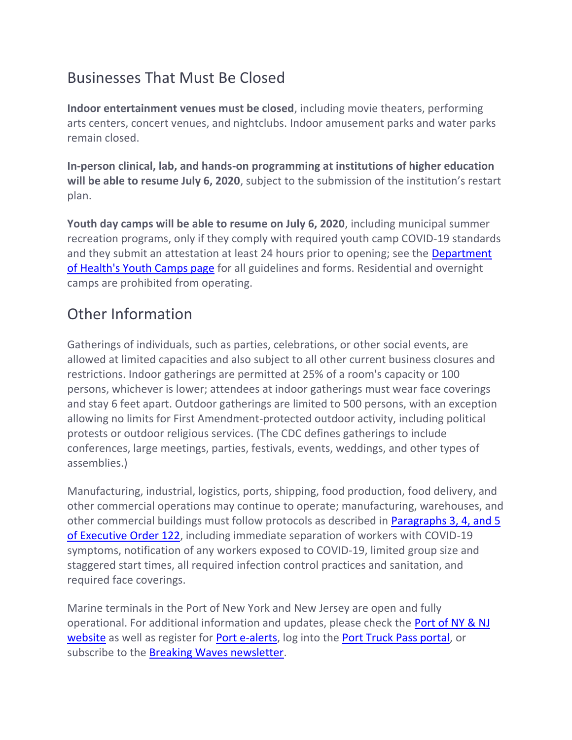## Businesses That Must Be Closed

**Indoor entertainment venues must be closed**, including movie theaters, performing arts centers, concert venues, and nightclubs. Indoor amusement parks and water parks remain closed.

**In-person clinical, lab, and hands-on programming at institutions of higher education will be able to resume July 6, 2020**, subject to the submission of the institution's restart plan.

**Youth day camps will be able to resume on July 6, 2020**, including municipal summer recreation programs, only if they comply with required youth camp COVID-19 standards and they submit an attestation at least 24 hours prior to opening; see the Department [of Health's Youth Camps page](https://nj.gov/health/ceohs/sanitation-safety/youthcamps.shtml) for all guidelines and forms. Residential and overnight camps are prohibited from operating.

## Other Information

Gatherings of individuals, such as parties, celebrations, or other social events, are allowed at limited capacities and also subject to all other current business closures and restrictions. Indoor gatherings are permitted at 25% of a room's capacity or 100 persons, whichever is lower; attendees at indoor gatherings must wear face coverings and stay 6 feet apart. Outdoor gatherings are limited to 500 persons, with an exception allowing no limits for First Amendment-protected outdoor activity, including political protests or outdoor religious services. (The CDC defines gatherings to include conferences, large meetings, parties, festivals, events, weddings, and other types of assemblies.)

Manufacturing, industrial, logistics, ports, shipping, food production, food delivery, and other commercial operations may continue to operate; manufacturing, warehouses, and other commercial buildings must follow protocols as described in [Paragraphs 3, 4, and 5](http://d31hzlhk6di2h5.cloudfront.net/20200408/c8/1b/61/37/b3f185e69487ad0f80d760b1/EO-122.pdf)  [of Executive Order 122,](http://d31hzlhk6di2h5.cloudfront.net/20200408/c8/1b/61/37/b3f185e69487ad0f80d760b1/EO-122.pdf) including immediate separation of workers with COVID-19 symptoms, notification of any workers exposed to COVID-19, limited group size and staggered start times, all required infection control practices and sanitation, and required face coverings.

Marine terminals in the Port of New York and New Jersey are open and fully operational. For additional information and updates, please check the [Port of NY & NJ](https://www.panynj.gov/port/en/index.html)  [website](https://www.panynj.gov/port/en/index.html) as well as register for [Port e-alerts,](https://www.panynj.gov/port-authority/en/alerts.html) log into the [Port Truck Pass portal,](https://www.porttruckpass.com/) or subscribe to the [Breaking Waves newsletter.](https://www.portbreakingwaves.com/newsletter-signup/)